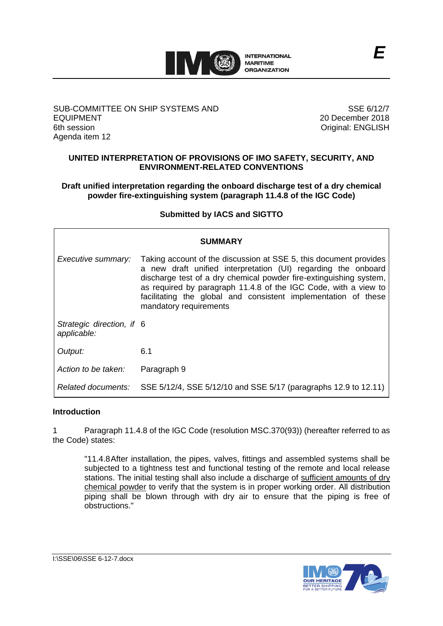

### SUB-COMMITTEE ON SHIP SYSTEMS AND EQUIPMENT 6th session Agenda item 12

SSE 6/12/7 20 December 2018 Original: ENGLISH

# **UNITED INTERPRETATION OF PROVISIONS OF IMO SAFETY, SECURITY, AND ENVIRONMENT-RELATED CONVENTIONS**

# **Draft unified interpretation regarding the onboard discharge test of a dry chemical powder fire-extinguishing system (paragraph 11.4.8 of the IGC Code)**

# **Submitted by IACS and SIGTTO**

| <b>SUMMARY</b>                           |                                                                                                                                                                                                                                                                                                                                                                         |
|------------------------------------------|-------------------------------------------------------------------------------------------------------------------------------------------------------------------------------------------------------------------------------------------------------------------------------------------------------------------------------------------------------------------------|
| Executive summary:                       | Taking account of the discussion at SSE 5, this document provides<br>a new draft unified interpretation (UI) regarding the onboard<br>discharge test of a dry chemical powder fire-extinguishing system,<br>as required by paragraph 11.4.8 of the IGC Code, with a view to<br>facilitating the global and consistent implementation of these<br>mandatory requirements |
| Strategic direction, if 6<br>applicable: |                                                                                                                                                                                                                                                                                                                                                                         |
| Output:                                  | 6.1                                                                                                                                                                                                                                                                                                                                                                     |
| Action to be taken:                      | Paragraph 9                                                                                                                                                                                                                                                                                                                                                             |
| Related documents:                       | SSE 5/12/4, SSE 5/12/10 and SSE 5/17 (paragraphs 12.9 to 12.11)                                                                                                                                                                                                                                                                                                         |

#### **Introduction**

1 Paragraph 11.4.8 of the IGC Code (resolution MSC.370(93)) (hereafter referred to as the Code) states:

"11.4.8After installation, the pipes, valves, fittings and assembled systems shall be subjected to a tightness test and functional testing of the remote and local release stations. The initial testing shall also include a discharge of sufficient amounts of dry chemical powder to verify that the system is in proper working order. All distribution piping shall be blown through with dry air to ensure that the piping is free of obstructions."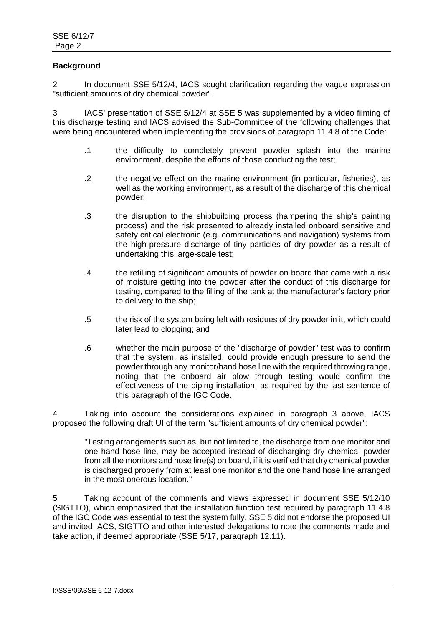# **Background**

2 In document SSE 5/12/4, IACS sought clarification regarding the vague expression "sufficient amounts of dry chemical powder".

3 IACS' presentation of SSE 5/12/4 at SSE 5 was supplemented by a video filming of this discharge testing and IACS advised the Sub-Committee of the following challenges that were being encountered when implementing the provisions of paragraph 11.4.8 of the Code:

- .1 the difficulty to completely prevent powder splash into the marine environment, despite the efforts of those conducting the test;
- .2 the negative effect on the marine environment (in particular, fisheries), as well as the working environment, as a result of the discharge of this chemical powder;
- .3 the disruption to the shipbuilding process (hampering the ship's painting process) and the risk presented to already installed onboard sensitive and safety critical electronic (e.g. communications and navigation) systems from the high-pressure discharge of tiny particles of dry powder as a result of undertaking this large-scale test;
- .4 the refilling of significant amounts of powder on board that came with a risk of moisture getting into the powder after the conduct of this discharge for testing, compared to the filling of the tank at the manufacturer's factory prior to delivery to the ship;
- .5 the risk of the system being left with residues of dry powder in it, which could later lead to clogging; and
- .6 whether the main purpose of the "discharge of powder" test was to confirm that the system, as installed, could provide enough pressure to send the powder through any monitor/hand hose line with the required throwing range, noting that the onboard air blow through testing would confirm the effectiveness of the piping installation, as required by the last sentence of this paragraph of the IGC Code.

4 Taking into account the considerations explained in paragraph 3 above, IACS proposed the following draft UI of the term "sufficient amounts of dry chemical powder":

"Testing arrangements such as, but not limited to, the discharge from one monitor and one hand hose line, may be accepted instead of discharging dry chemical powder from all the monitors and hose line(s) on board, if it is verified that dry chemical powder is discharged properly from at least one monitor and the one hand hose line arranged in the most onerous location."

5 Taking account of the comments and views expressed in document SSE 5/12/10 (SIGTTO), which emphasized that the installation function test required by paragraph 11.4.8 of the IGC Code was essential to test the system fully, SSE 5 did not endorse the proposed UI and invited IACS, SIGTTO and other interested delegations to note the comments made and take action, if deemed appropriate (SSE 5/17, paragraph 12.11).